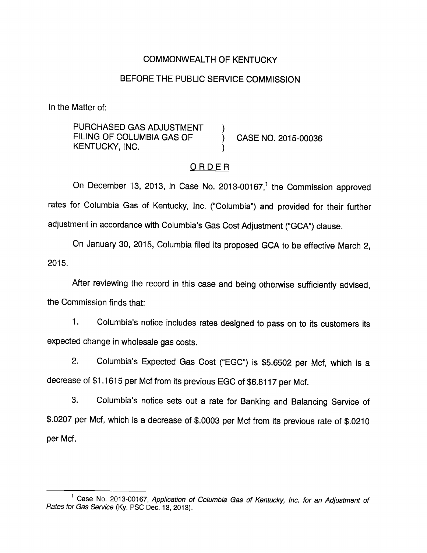#### COMMONWEALTH OF KENTUCKY

### BEFORE THE PUBLIC SERVICE COMMISSION

In the Matter of:

PURCHASED GAS ADJUSTMENT FILING OF COLUMBIA GAS OF (CASE NO. 2015-00036) KENTUCKY, INC.

#### ORDER

On December 13, 2013, in Case No. 2013-00167,<sup>1</sup> the Commission approved rates for Columbia Gas of Kentucky, Inc. ("Columbia") and provided for their further adjustment in accordance with Columbia's Gas Cost Adjustment ("GCA") clause.

On January 30, 2015, Columbia filed its proposed GCA to be effective March 2, 2015.

After reviewing the record in this case and being otherwise sufficiently advised, the Commission finds that:

1. Columbia's notice includes rates designed to pass on to its customers its expected change in wholesale gas costs.

2. Columbia's Expected Gas Cost ("EGC") is \$5.6502 per Mcf, which is a decrease of \$1.1615 per Mcf from its previous EGC of \$6.8117 per Mcf.

3. Columbia's notice sets out a rate for Banking and Balancing Service of \$.0207 per Mcf, which is a decrease of \$.0003 per Mcf from its previous rate of \$.0210 per Mcf.

<sup>&</sup>lt;sup>1</sup> Case No. 2013-00167, Application of Columbia Gas of Kentucky, Inc. for an Adjustment of Rates for Gas Service (Ky. PSC Dec. 13, 2013).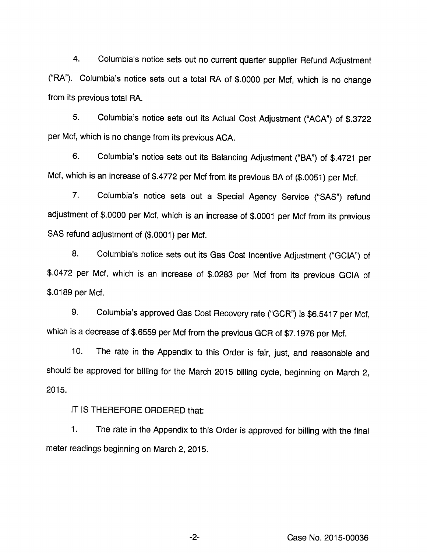4. Columbia's notice sets out no current quarter supplier Refund Adjustment ("RA"). Columbia's notice sets out a total RA of \$.0000 per Mcf, which is no change from its previous total RA.

5. Columbia's notice sets out its Actual Cost Adjustment ("ACA") of \$.3722 per Mcf, which is no change from its previous ACA.

6. Columbia's notice sets out its Balancing Adjustment ("BA") of \$.4721 per Mcf, which is an increase of \$.4772 per Mcf from its previous BA of (\$.0051) per Mcf.

7. Columbia's notice sets out a Special Agency Service ("SAS") refund adjustment of \$.0000 per Mcf, which is an increase of \$.0001 per Mcf from its previous SAS refund adjustment of (\$.0001) per Mcf.

8. Columbia's notice sets out its Gas Cost Incentive Adjustment ("GCIA") of \$.0472 per Mcf, which is an increase of \$.0283 per Mcf from its previous GCIA of \$.0189 per Mcf.

9. Columbia's approved Gas Cost Recovery rate ("GCR") is \$6.5417 per Mcf, which is a decrease of \$.6559 per Mcf from the previous GCR of \$7.1976 per Mcf.

10. The rate in the Appendix to this Order is fair, just, and reasonable and should be approved for billing for the March 2015 billing cycle, beginning on March 2, 2015.

IT IS THEREFORE ORDERED that:

1. The rate in the Appendix to this Order is approved for billing with the final meter readings beginning on March 2, 2015.

Case No. 2015-00036

-2-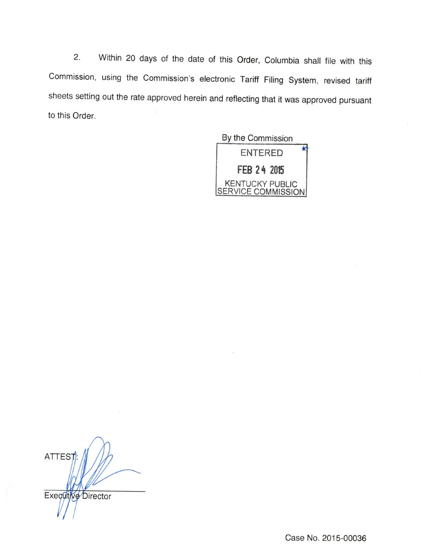2. Within 20 days of the date of this Order, Columbia shall file with this Commission, using the Commission's electronic Tariff Filing System, revised tariff sheets setting out the rate approved herein and reflecting that it was approved pursuant to this Order.

By the Commission



ATTES<sub>T</sub> Executive Director

Case No. 2015-00036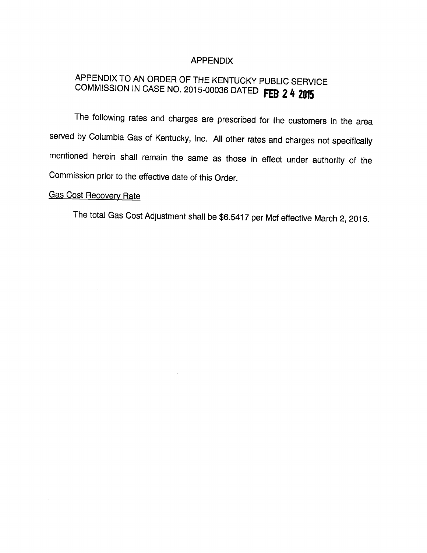#### APPENDIX

# APPENDIX TO AN ORDER OF THE KENTUCKY PUBLIC SERVICE COMMISSION IN CASE NO. 2015-00036 DATED FEB 2 4 2015

The following rates and charges are prescribed for the customers in the area served by Columbia Gas of Kentucky, Inc. All other rates and charges not specifically mentioned herein shall remain the same as those in effect under authority of the Commission prior to the effective date of this Order.

## Gas Cost Recovery Rate

 $\bar{z}$ 

 $\bar{\nu}$ 

The totai Gas Cost Adjustment shall be \$6.5417 per Mcf effective March 2, 2015.